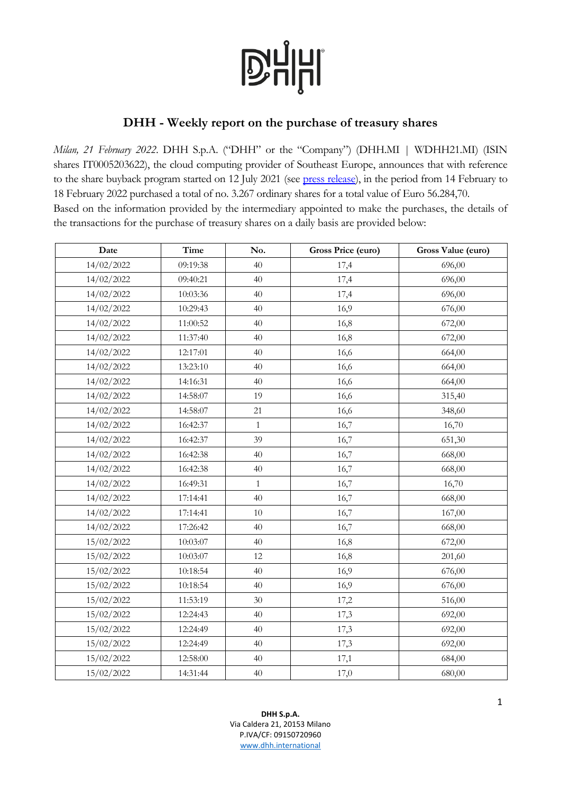### **D'HHI**

### **DHH - Weekly report on the purchase of treasury shares**

*Milan, 21 February 2022*. DHH S.p.A. ("DHH" or the "Company") (DHH.MI | WDHH21.MI) (ISIN shares IT0005203622), the cloud computing provider of Southeast Europe, announces that with reference to the share buyback program started on 12 July 2021 (see [press release\)](https://www.dhh.international/dhh-announces-the-beginning-of-a-share-buyback-program/), in the period from 14 February to 18 February 2022 purchased a total of no. 3.267 ordinary shares for a total value of Euro 56.284,70. Based on the information provided by the intermediary appointed to make the purchases, the details of the transactions for the purchase of treasury shares on a daily basis are provided below:

| Date       | <b>Time</b> | No.             | Gross Price (euro) | Gross Value (euro) |
|------------|-------------|-----------------|--------------------|--------------------|
| 14/02/2022 | 09:19:38    | 40              | 17,4               | 696,00             |
| 14/02/2022 | 09:40:21    | 40              | 17,4               | 696,00             |
| 14/02/2022 | 10:03:36    | 40              | 17,4               | 696,00             |
| 14/02/2022 | 10:29:43    | 40              | 16,9               | 676,00             |
| 14/02/2022 | 11:00:52    | 40              | 16,8               | 672,00             |
| 14/02/2022 | 11:37:40    | 40              | 16,8               | 672,00             |
| 14/02/2022 | 12:17:01    | 40              | 16,6               | 664,00             |
| 14/02/2022 | 13:23:10    | 40              | 16,6               | 664,00             |
| 14/02/2022 | 14:16:31    | 40              | 16,6               | 664,00             |
| 14/02/2022 | 14:58:07    | 19              | 16,6               | 315,40             |
| 14/02/2022 | 14:58:07    | 21              | 16,6               | 348,60             |
| 14/02/2022 | 16:42:37    | $\mathbf{1}$    | 16,7               | 16,70              |
| 14/02/2022 | 16:42:37    | 39              | 16,7               | 651,30             |
| 14/02/2022 | 16:42:38    | 40              | 16,7               | 668,00             |
| 14/02/2022 | 16:42:38    | 40              | 16,7               | 668,00             |
| 14/02/2022 | 16:49:31    | 1               | 16,7               | 16,70              |
| 14/02/2022 | 17:14:41    | 40              | 16,7               | 668,00             |
| 14/02/2022 | 17:14:41    | 10              | 16,7               | 167,00             |
| 14/02/2022 | 17:26:42    | 40              | 16,7               | 668,00             |
| 15/02/2022 | 10:03:07    | 40              | 16,8               | 672,00             |
| 15/02/2022 | 10:03:07    | 12              | 16,8               | 201,60             |
| 15/02/2022 | 10:18:54    | 40              | 16,9               | 676,00             |
| 15/02/2022 | 10:18:54    | 40              | 16,9               | 676,00             |
| 15/02/2022 | 11:53:19    | 30 <sup>°</sup> | 17,2               | 516,00             |
| 15/02/2022 | 12:24:43    | 40              | 17,3               | 692,00             |
| 15/02/2022 | 12:24:49    | 40              | 17,3               | 692,00             |
| 15/02/2022 | 12:24:49    | 40              | 17,3               | 692,00             |
| 15/02/2022 | 12:58:00    | 40              | 17,1               | 684,00             |
| 15/02/2022 | 14:31:44    | 40              | 17,0               | 680,00             |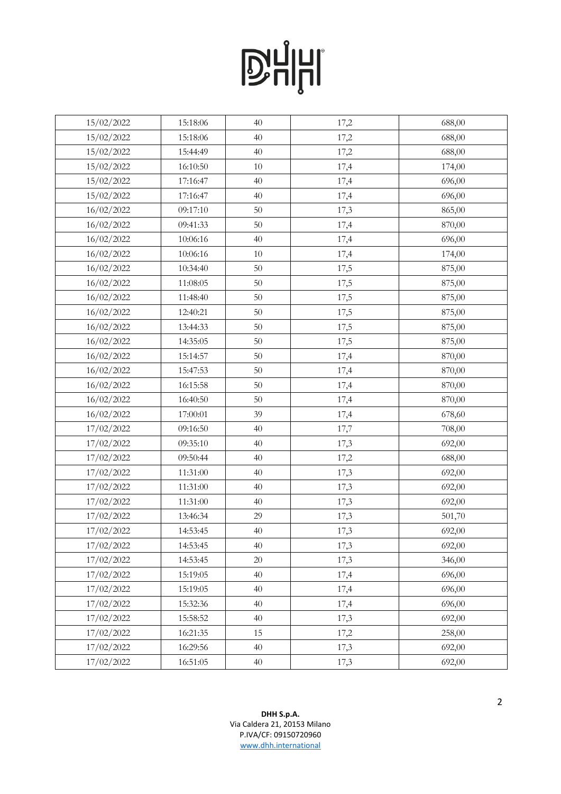

| 15/02/2022 | 15:18:06 | 40     | 17,2 | 688,00 |
|------------|----------|--------|------|--------|
| 15/02/2022 | 15:18:06 | 40     | 17,2 | 688,00 |
| 15/02/2022 | 15:44:49 | 40     | 17,2 | 688,00 |
| 15/02/2022 | 16:10:50 | 10     | 17,4 | 174,00 |
| 15/02/2022 | 17:16:47 | 40     | 17,4 | 696,00 |
| 15/02/2022 | 17:16:47 | 40     | 17,4 | 696,00 |
| 16/02/2022 | 09:17:10 | $50\,$ | 17,3 | 865,00 |
| 16/02/2022 | 09:41:33 | $50\,$ | 17,4 | 870,00 |
| 16/02/2022 | 10:06:16 | 40     | 17,4 | 696,00 |
| 16/02/2022 | 10:06:16 | 10     | 17,4 | 174,00 |
| 16/02/2022 | 10:34:40 | $50\,$ | 17,5 | 875,00 |
| 16/02/2022 | 11:08:05 | $50\,$ | 17,5 | 875,00 |
| 16/02/2022 | 11:48:40 | $50\,$ | 17,5 | 875,00 |
| 16/02/2022 | 12:40:21 | $50\,$ | 17,5 | 875,00 |
| 16/02/2022 | 13:44:33 | 50     | 17,5 | 875,00 |
| 16/02/2022 | 14:35:05 | 50     | 17,5 | 875,00 |
| 16/02/2022 | 15:14:57 | 50     | 17,4 | 870,00 |
| 16/02/2022 | 15:47:53 | 50     | 17,4 | 870,00 |
| 16/02/2022 | 16:15:58 | $50\,$ | 17,4 | 870,00 |
| 16/02/2022 | 16:40:50 | $50\,$ | 17,4 | 870,00 |
| 16/02/2022 | 17:00:01 | 39     | 17,4 | 678,60 |
| 17/02/2022 | 09:16:50 | 40     | 17,7 | 708,00 |
| 17/02/2022 | 09:35:10 | 40     | 17,3 | 692,00 |
| 17/02/2022 | 09:50:44 | 40     | 17,2 | 688,00 |
| 17/02/2022 | 11:31:00 | 40     | 17,3 | 692,00 |
| 17/02/2022 | 11:31:00 | 40     | 17,3 | 692,00 |
| 17/02/2022 | 11:31:00 | 40     | 17,3 | 692,00 |
| 17/02/2022 | 13:46:34 | 29     | 17,3 | 501,70 |
| 17/02/2022 | 14:53:45 | 40     | 17,3 | 692,00 |
| 17/02/2022 | 14:53:45 | 40     | 17,3 | 692,00 |
| 17/02/2022 | 14:53:45 | 20     | 17,3 | 346,00 |
| 17/02/2022 | 15:19:05 | 40     | 17,4 | 696,00 |
| 17/02/2022 | 15:19:05 | 40     | 17,4 | 696,00 |
| 17/02/2022 | 15:32:36 | 40     | 17,4 | 696,00 |
| 17/02/2022 | 15:58:52 | 40     | 17,3 | 692,00 |
| 17/02/2022 | 16:21:35 | 15     | 17,2 | 258,00 |
| 17/02/2022 | 16:29:56 | 40     | 17,3 | 692,00 |
| 17/02/2022 | 16:51:05 | 40     | 17,3 | 692,00 |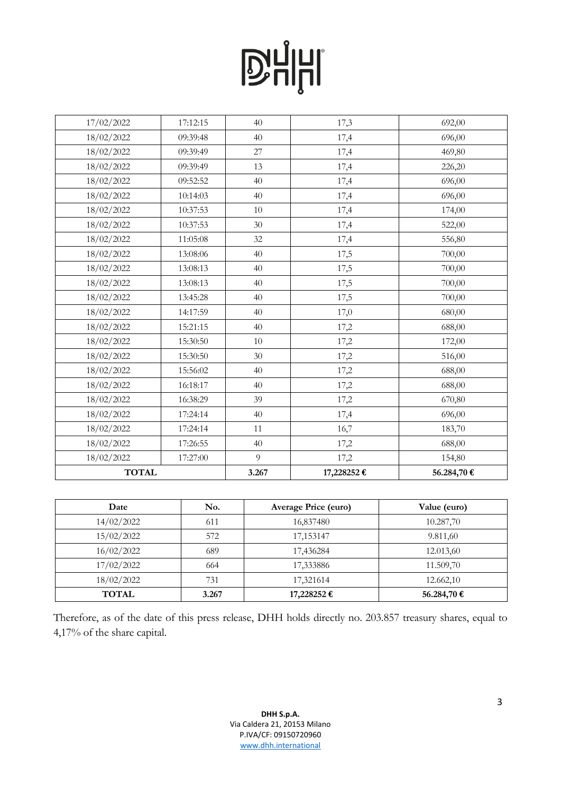# **Digitil**

| <b>TOTAL</b> |          | 3.267 | 17,228252€ | 56.284,70€ |
|--------------|----------|-------|------------|------------|
| 18/02/2022   | 17:27:00 | 9     | 17,2       | 154,80     |
| 18/02/2022   | 17:26:55 | 40    | 17,2       | 688,00     |
| 18/02/2022   | 17:24:14 | 11    | 16,7       | 183,70     |
| 18/02/2022   | 17:24:14 | 40    | 17,4       | 696,00     |
| 18/02/2022   | 16:38:29 | 39    | 17,2       | 670,80     |
| 18/02/2022   | 16:18:17 | 40    | 17,2       | 688,00     |
| 18/02/2022   | 15:56:02 | 40    | 17,2       | 688,00     |
| 18/02/2022   | 15:30:50 | 30    | 17,2       | 516,00     |
| 18/02/2022   | 15:30:50 | 10    | 17,2       | 172,00     |
| 18/02/2022   | 15:21:15 | 40    | 17,2       | 688,00     |
| 18/02/2022   | 14:17:59 | 40    | 17,0       | 680,00     |
| 18/02/2022   | 13:45:28 | 40    | 17,5       | 700,00     |
| 18/02/2022   | 13:08:13 | 40    | 17,5       | 700,00     |
| 18/02/2022   | 13:08:13 | 40    | 17,5       | 700,00     |
| 18/02/2022   | 13:08:06 | 40    | 17,5       | 700,00     |
| 18/02/2022   | 11:05:08 | 32    | 17,4       | 556,80     |
| 18/02/2022   | 10:37:53 | 30    | 17,4       | 522,00     |
| 18/02/2022   | 10:37:53 | 10    | 17,4       | 174,00     |
| 18/02/2022   | 10:14:03 | 40    | 17,4       | 696,00     |
| 18/02/2022   | 09:52:52 | 40    | 17,4       | 696,00     |
| 18/02/2022   | 09:39:49 | 13    | 17,4       | 226,20     |
| 18/02/2022   | 09:39:49 | 27    | 17,4       | 469,80     |
| 18/02/2022   | 09:39:48 | 40    | 17,4       | 696,00     |
| 17/02/2022   | 17:12:15 | 40    | 17,3       | 692,00     |
|              |          |       |            |            |

| Date         | No.   | <b>Average Price (euro)</b> | Value (euro) |
|--------------|-------|-----------------------------|--------------|
| 14/02/2022   | 611   | 16,837480                   | 10.287,70    |
| 15/02/2022   | 572   | 17,153147                   | 9.811,60     |
| 16/02/2022   | 689   | 17,436284                   | 12.013,60    |
| 17/02/2022   | 664   | 17,333886                   | 11.509,70    |
| 18/02/2022   | 731   | 17,321614                   | 12.662,10    |
| <b>TOTAL</b> | 3.267 | 17,228252 €                 | 56.284,70 €  |

Therefore, as of the date of this press release, DHH holds directly no. 203.857 treasury shares, equal to 4,17% of the share capital.